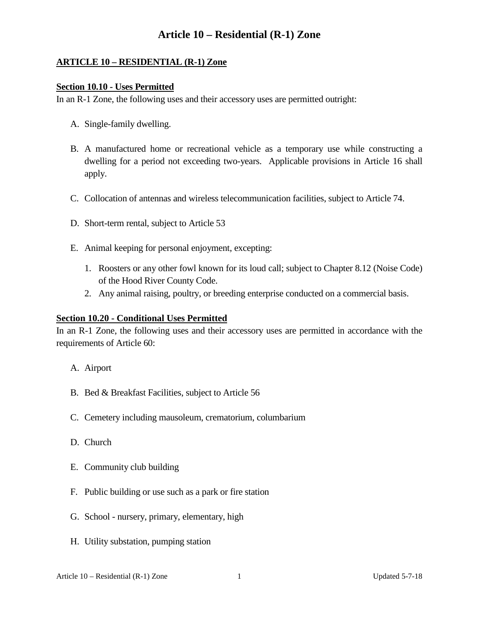# **Article 10 – Residential (R-1) Zone**

### **ARTICLE 10 – RESIDENTIAL (R-1) Zone**

#### **Section 10.10 - Uses Permitted**

In an R-1 Zone, the following uses and their accessory uses are permitted outright:

- A. Single-family dwelling.
- B. A manufactured home or recreational vehicle as a temporary use while constructing a dwelling for a period not exceeding two-years. Applicable provisions in Article 16 shall apply.
- C. Collocation of antennas and wireless telecommunication facilities, subject to Article 74.
- D. Short-term rental, subject to Article 53
- E. Animal keeping for personal enjoyment, excepting:
	- 1. Roosters or any other fowl known for its loud call; subject to Chapter 8.12 (Noise Code) of the Hood River County Code.
	- 2. Any animal raising, poultry, or breeding enterprise conducted on a commercial basis.

#### **Section 10.20 - Conditional Uses Permitted**

In an R-1 Zone, the following uses and their accessory uses are permitted in accordance with the requirements of Article 60:

- A. Airport
- B. Bed & Breakfast Facilities, subject to Article 56
- C. Cemetery including mausoleum, crematorium, columbarium
- D. Church
- E. Community club building
- F. Public building or use such as a park or fire station
- G. School nursery, primary, elementary, high
- H. Utility substation, pumping station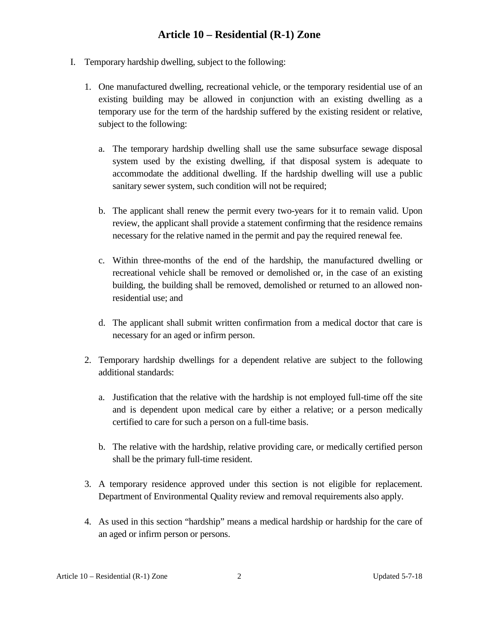# **Article 10 – Residential (R-1) Zone**

- I. Temporary hardship dwelling, subject to the following:
	- 1. One manufactured dwelling, recreational vehicle, or the temporary residential use of an existing building may be allowed in conjunction with an existing dwelling as a temporary use for the term of the hardship suffered by the existing resident or relative, subject to the following:
		- a. The temporary hardship dwelling shall use the same subsurface sewage disposal system used by the existing dwelling, if that disposal system is adequate to accommodate the additional dwelling. If the hardship dwelling will use a public sanitary sewer system, such condition will not be required;
		- b. The applicant shall renew the permit every two-years for it to remain valid. Upon review, the applicant shall provide a statement confirming that the residence remains necessary for the relative named in the permit and pay the required renewal fee.
		- c. Within three-months of the end of the hardship, the manufactured dwelling or recreational vehicle shall be removed or demolished or, in the case of an existing building, the building shall be removed, demolished or returned to an allowed nonresidential use; and
		- d. The applicant shall submit written confirmation from a medical doctor that care is necessary for an aged or infirm person.
	- 2. Temporary hardship dwellings for a dependent relative are subject to the following additional standards:
		- a. Justification that the relative with the hardship is not employed full-time off the site and is dependent upon medical care by either a relative; or a person medically certified to care for such a person on a full-time basis.
		- b. The relative with the hardship, relative providing care, or medically certified person shall be the primary full-time resident.
	- 3. A temporary residence approved under this section is not eligible for replacement. Department of Environmental Quality review and removal requirements also apply.
	- 4. As used in this section "hardship" means a medical hardship or hardship for the care of an aged or infirm person or persons.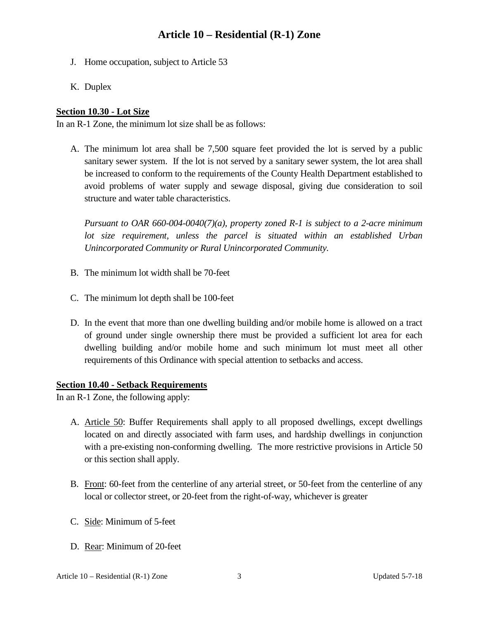# **Article 10 – Residential (R-1) Zone**

- J. Home occupation, subject to Article 53
- K. Duplex

### **Section 10.30 - Lot Size**

In an R-1 Zone, the minimum lot size shall be as follows:

A. The minimum lot area shall be 7,500 square feet provided the lot is served by a public sanitary sewer system. If the lot is not served by a sanitary sewer system, the lot area shall be increased to conform to the requirements of the County Health Department established to avoid problems of water supply and sewage disposal, giving due consideration to soil structure and water table characteristics.

*Pursuant to OAR 660-004-0040(7)(a), property zoned R-1 is subject to a 2-acre minimum*  lot size requirement, unless the parcel is situated within an established Urban *Unincorporated Community or Rural Unincorporated Community.*

- B. The minimum lot width shall be 70-feet
- C. The minimum lot depth shall be 100-feet
- D. In the event that more than one dwelling building and/or mobile home is allowed on a tract of ground under single ownership there must be provided a sufficient lot area for each dwelling building and/or mobile home and such minimum lot must meet all other requirements of this Ordinance with special attention to setbacks and access.

#### **Section 10.40 - Setback Requirements**

In an R-1 Zone, the following apply:

- A. Article 50: Buffer Requirements shall apply to all proposed dwellings, except dwellings located on and directly associated with farm uses, and hardship dwellings in conjunction with a pre-existing non-conforming dwelling. The more restrictive provisions in Article 50 or this section shall apply.
- B. Front: 60-feet from the centerline of any arterial street, or 50-feet from the centerline of any local or collector street, or 20-feet from the right-of-way, whichever is greater
- C. Side: Minimum of 5-feet
- D. Rear: Minimum of 20-feet